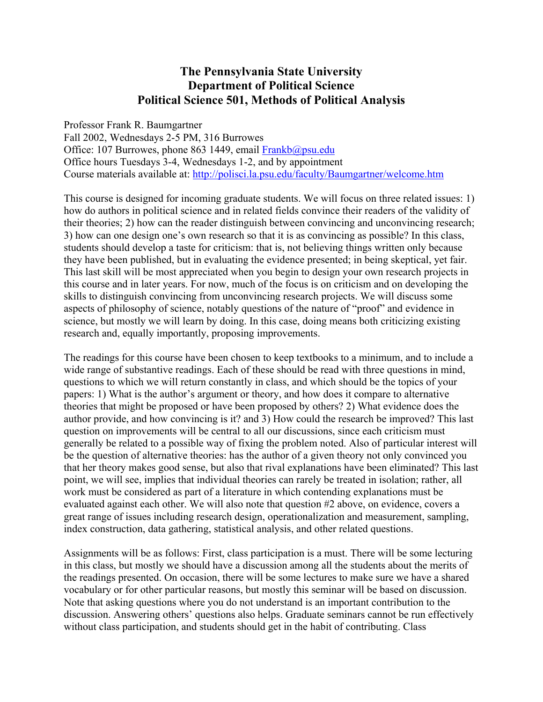### **The Pennsylvania State University Department of Political Science Political Science 501, Methods of Political Analysis**

Professor Frank R. Baumgartner

Fall 2002, Wednesdays 2-5 PM, 316 Burrowes Office: 107 Burrowes, phone 863 1449, email [Frankb@psu.edu](mailto:Frankb@psu.edu) Office hours Tuesdays 3-4, Wednesdays 1-2, and by appointment Course materials available at:<http://polisci.la.psu.edu/faculty/Baumgartner/welcome.htm>

This course is designed for incoming graduate students. We will focus on three related issues: 1) how do authors in political science and in related fields convince their readers of the validity of their theories; 2) how can the reader distinguish between convincing and unconvincing research; 3) how can one design one's own research so that it is as convincing as possible? In this class, students should develop a taste for criticism: that is, not believing things written only because they have been published, but in evaluating the evidence presented; in being skeptical, yet fair. This last skill will be most appreciated when you begin to design your own research projects in this course and in later years. For now, much of the focus is on criticism and on developing the skills to distinguish convincing from unconvincing research projects. We will discuss some aspects of philosophy of science, notably questions of the nature of "proof" and evidence in science, but mostly we will learn by doing. In this case, doing means both criticizing existing research and, equally importantly, proposing improvements.

The readings for this course have been chosen to keep textbooks to a minimum, and to include a wide range of substantive readings. Each of these should be read with three questions in mind, questions to which we will return constantly in class, and which should be the topics of your papers: 1) What is the author's argument or theory, and how does it compare to alternative theories that might be proposed or have been proposed by others? 2) What evidence does the author provide, and how convincing is it? and 3) How could the research be improved? This last question on improvements will be central to all our discussions, since each criticism must generally be related to a possible way of fixing the problem noted. Also of particular interest will be the question of alternative theories: has the author of a given theory not only convinced you that her theory makes good sense, but also that rival explanations have been eliminated? This last point, we will see, implies that individual theories can rarely be treated in isolation; rather, all work must be considered as part of a literature in which contending explanations must be evaluated against each other. We will also note that question #2 above, on evidence, covers a great range of issues including research design, operationalization and measurement, sampling, index construction, data gathering, statistical analysis, and other related questions.

Assignments will be as follows: First, class participation is a must. There will be some lecturing in this class, but mostly we should have a discussion among all the students about the merits of the readings presented. On occasion, there will be some lectures to make sure we have a shared vocabulary or for other particular reasons, but mostly this seminar will be based on discussion. Note that asking questions where you do not understand is an important contribution to the discussion. Answering others' questions also helps. Graduate seminars cannot be run effectively without class participation, and students should get in the habit of contributing. Class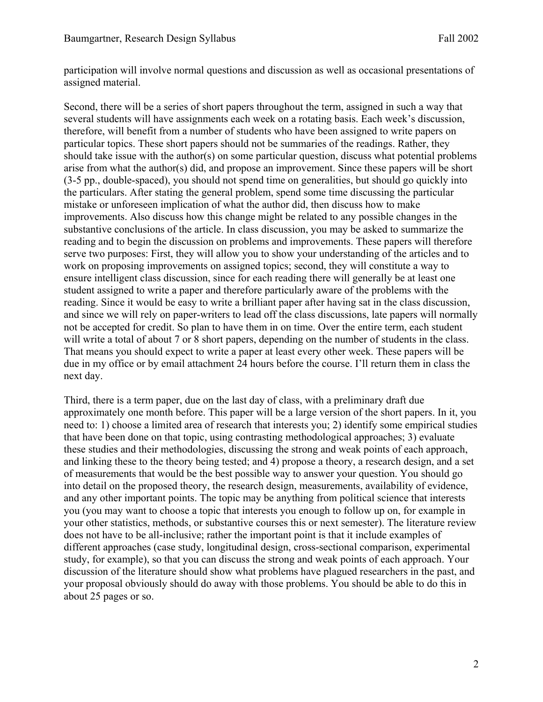participation will involve normal questions and discussion as well as occasional presentations of assigned material.

Second, there will be a series of short papers throughout the term, assigned in such a way that several students will have assignments each week on a rotating basis. Each week's discussion, therefore, will benefit from a number of students who have been assigned to write papers on particular topics. These short papers should not be summaries of the readings. Rather, they should take issue with the author(s) on some particular question, discuss what potential problems arise from what the author(s) did, and propose an improvement. Since these papers will be short (3-5 pp., double-spaced), you should not spend time on generalities, but should go quickly into the particulars. After stating the general problem, spend some time discussing the particular mistake or unforeseen implication of what the author did, then discuss how to make improvements. Also discuss how this change might be related to any possible changes in the substantive conclusions of the article. In class discussion, you may be asked to summarize the reading and to begin the discussion on problems and improvements. These papers will therefore serve two purposes: First, they will allow you to show your understanding of the articles and to work on proposing improvements on assigned topics; second, they will constitute a way to ensure intelligent class discussion, since for each reading there will generally be at least one student assigned to write a paper and therefore particularly aware of the problems with the reading. Since it would be easy to write a brilliant paper after having sat in the class discussion, and since we will rely on paper-writers to lead off the class discussions, late papers will normally not be accepted for credit. So plan to have them in on time. Over the entire term, each student will write a total of about 7 or 8 short papers, depending on the number of students in the class. That means you should expect to write a paper at least every other week. These papers will be due in my office or by email attachment 24 hours before the course. I'll return them in class the next day.

Third, there is a term paper, due on the last day of class, with a preliminary draft due approximately one month before. This paper will be a large version of the short papers. In it, you need to: 1) choose a limited area of research that interests you; 2) identify some empirical studies that have been done on that topic, using contrasting methodological approaches; 3) evaluate these studies and their methodologies, discussing the strong and weak points of each approach, and linking these to the theory being tested; and 4) propose a theory, a research design, and a set of measurements that would be the best possible way to answer your question. You should go into detail on the proposed theory, the research design, measurements, availability of evidence, and any other important points. The topic may be anything from political science that interests you (you may want to choose a topic that interests you enough to follow up on, for example in your other statistics, methods, or substantive courses this or next semester). The literature review does not have to be all-inclusive; rather the important point is that it include examples of different approaches (case study, longitudinal design, cross-sectional comparison, experimental study, for example), so that you can discuss the strong and weak points of each approach. Your discussion of the literature should show what problems have plagued researchers in the past, and your proposal obviously should do away with those problems. You should be able to do this in about 25 pages or so.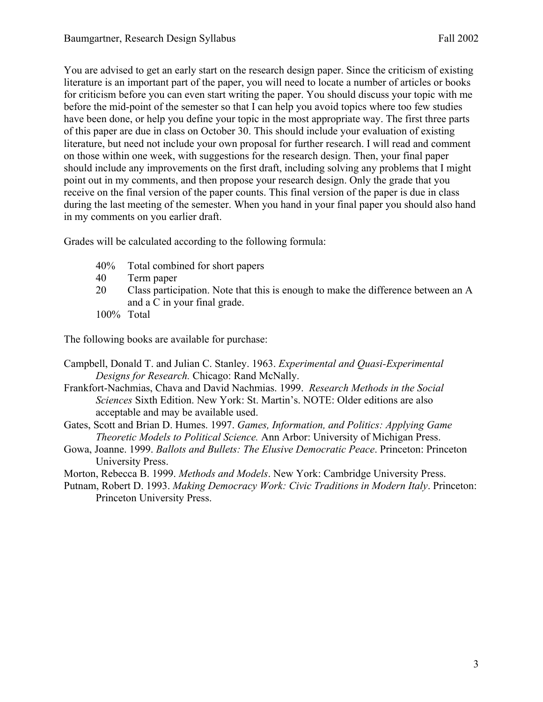You are advised to get an early start on the research design paper. Since the criticism of existing literature is an important part of the paper, you will need to locate a number of articles or books for criticism before you can even start writing the paper. You should discuss your topic with me before the mid-point of the semester so that I can help you avoid topics where too few studies have been done, or help you define your topic in the most appropriate way. The first three parts of this paper are due in class on October 30. This should include your evaluation of existing literature, but need not include your own proposal for further research. I will read and comment on those within one week, with suggestions for the research design. Then, your final paper should include any improvements on the first draft, including solving any problems that I might point out in my comments, and then propose your research design. Only the grade that you receive on the final version of the paper counts. This final version of the paper is due in class during the last meeting of the semester. When you hand in your final paper you should also hand in my comments on you earlier draft.

Grades will be calculated according to the following formula:

- 40% Total combined for short papers
- 40 Term paper
- 20 Class participation. Note that this is enough to make the difference between an A and a C in your final grade.
- 100% Total

The following books are available for purchase:

- Campbell, Donald T. and Julian C. Stanley. 1963. *Experimental and Quasi-Experimental Designs for Research.* Chicago: Rand McNally.
- Frankfort-Nachmias, Chava and David Nachmias. 1999. *Research Methods in the Social Sciences* Sixth Edition. New York: St. Martin's. NOTE: Older editions are also acceptable and may be available used.
- Gates, Scott and Brian D. Humes. 1997. *Games, Information, and Politics: Applying Game Theoretic Models to Political Science.* Ann Arbor: University of Michigan Press.
- Gowa, Joanne. 1999. *Ballots and Bullets: The Elusive Democratic Peace*. Princeton: Princeton University Press.
- Morton, Rebecca B. 1999. *Methods and Models*. New York: Cambridge University Press.
- Putnam, Robert D. 1993. *Making Democracy Work: Civic Traditions in Modern Italy*. Princeton: Princeton University Press.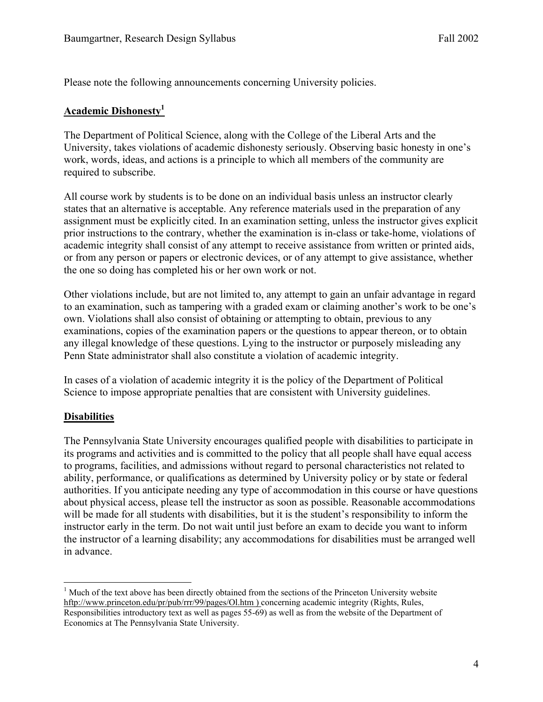Please note the following announcements concerning University policies.

#### **Academic Dishonesty[1](#page-3-0)**

The Department of Political Science, along with the College of the Liberal Arts and the University, takes violations of academic dishonesty seriously. Observing basic honesty in one's work, words, ideas, and actions is a principle to which all members of the community are required to subscribe.

All course work by students is to be done on an individual basis unless an instructor clearly states that an alternative is acceptable. Any reference materials used in the preparation of any assignment must be explicitly cited. In an examination setting, unless the instructor gives explicit prior instructions to the contrary, whether the examination is in-class or take-home, violations of academic integrity shall consist of any attempt to receive assistance from written or printed aids, or from any person or papers or electronic devices, or of any attempt to give assistance, whether the one so doing has completed his or her own work or not.

Other violations include, but are not limited to, any attempt to gain an unfair advantage in regard to an examination, such as tampering with a graded exam or claiming another's work to be one's own. Violations shall also consist of obtaining or attempting to obtain, previous to any examinations, copies of the examination papers or the questions to appear thereon, or to obtain any illegal knowledge of these questions. Lying to the instructor or purposely misleading any Penn State administrator shall also constitute a violation of academic integrity.

In cases of a violation of academic integrity it is the policy of the Department of Political Science to impose appropriate penalties that are consistent with University guidelines.

#### **Disabilities**

The Pennsylvania State University encourages qualified people with disabilities to participate in its programs and activities and is committed to the policy that all people shall have equal access to programs, facilities, and admissions without regard to personal characteristics not related to ability, performance, or qualifications as determined by University policy or by state or federal authorities. If you anticipate needing any type of accommodation in this course or have questions about physical access, please tell the instructor as soon as possible. Reasonable accommodations will be made for all students with disabilities, but it is the student's responsibility to inform the instructor early in the term. Do not wait until just before an exam to decide you want to inform the instructor of a learning disability; any accommodations for disabilities must be arranged well in advance.

<span id="page-3-0"></span><sup>1</sup> <sup>1</sup> Much of the text above has been directly obtained from the sections of the Princeton University website hftp://www.princeton.edu/pr/pub/rrr/99/pages/Ol.htm ) concerning academic integrity (Rights, Rules, Responsibilities introductory text as well as pages 55-69) as well as from the website of the Department of Economics at The Pennsylvania State University.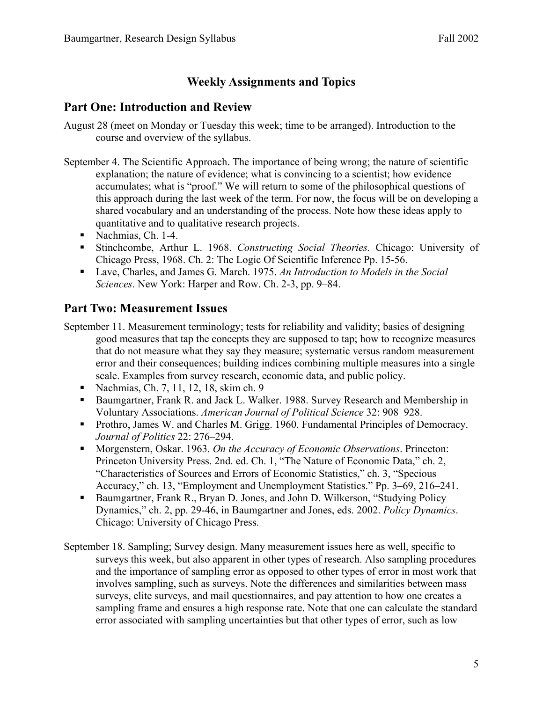## **Weekly Assignments and Topics**

### **Part One: Introduction and Review**

- August 28 (meet on Monday or Tuesday this week; time to be arranged). Introduction to the course and overview of the syllabus.
- September 4. The Scientific Approach. The importance of being wrong; the nature of scientific explanation; the nature of evidence; what is convincing to a scientist; how evidence accumulates; what is "proof." We will return to some of the philosophical questions of this approach during the last week of the term. For now, the focus will be on developing a shared vocabulary and an understanding of the process. Note how these ideas apply to quantitative and to qualitative research projects.
	- Nachmias, Ch. 1-4.
	- Stinchcombe, Arthur L. 1968. *Constructing Social Theories.* Chicago: University of Chicago Press, 1968. Ch. 2: The Logic Of Scientific Inference Pp. 15-56.
	- Lave, Charles, and James G. March. 1975. An Introduction to Models in the Social *Sciences*. New York: Harper and Row. Ch. 2-3, pp. 9–84.

### **Part Two: Measurement Issues**

- September 11. Measurement terminology; tests for reliability and validity; basics of designing good measures that tap the concepts they are supposed to tap; how to recognize measures that do not measure what they say they measure; systematic versus random measurement error and their consequences; building indices combining multiple measures into a single scale. Examples from survey research, economic data, and public policy.
	- Nachmias, Ch. 7, 11, 12, 18, skim ch. 9
	- Baumgartner, Frank R. and Jack L. Walker. 1988. Survey Research and Membership in Voluntary Associations. *American Journal of Political Science* 32: 908–928.
	- **Prothro, James W. and Charles M. Grigg. 1960. Fundamental Principles of Democracy.** *Journal of Politics* 22: 276–294.
	- Morgenstern, Oskar. 1963. *On the Accuracy of Economic Observations*. Princeton: Princeton University Press. 2nd. ed. Ch. 1, "The Nature of Economic Data," ch. 2, "Characteristics of Sources and Errors of Economic Statistics," ch. 3, "Specious Accuracy," ch. 13, "Employment and Unemployment Statistics." Pp. 3–69, 216–241.
	- **Baumgartner, Frank R., Bryan D. Jones, and John D. Wilkerson, "Studying Policy"** Dynamics," ch. 2, pp. 29-46, in Baumgartner and Jones, eds. 2002. *Policy Dynamics*. Chicago: University of Chicago Press.
- September 18. Sampling; Survey design. Many measurement issues here as well, specific to surveys this week, but also apparent in other types of research. Also sampling procedures and the importance of sampling error as opposed to other types of error in most work that involves sampling, such as surveys. Note the differences and similarities between mass surveys, elite surveys, and mail questionnaires, and pay attention to how one creates a sampling frame and ensures a high response rate. Note that one can calculate the standard error associated with sampling uncertainties but that other types of error, such as low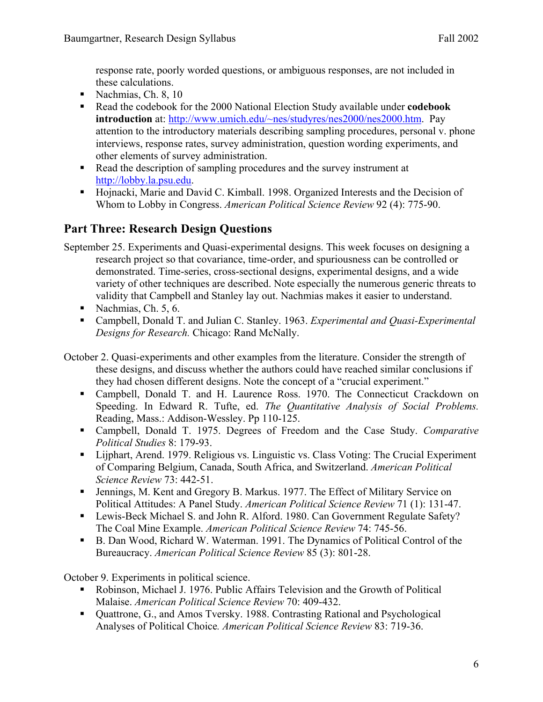response rate, poorly worded questions, or ambiguous responses, are not included in these calculations.

- Nachmias, Ch. 8,  $10$
- Read the codebook for the 2000 National Election Study available under **codebook introduction** at:<http://www.umich.edu/~nes/studyres/nes2000/nes2000.htm>. Pay attention to the introductory materials describing sampling procedures, personal v. phone interviews, response rates, survey administration, question wording experiments, and other elements of survey administration.
- Read the description of sampling procedures and the survey instrument at [http://lobby.la.psu.edu.](http://lobby.la.psu.edu/)
- Hojnacki, Marie and David C. Kimball. 1998. Organized Interests and the Decision of Whom to Lobby in Congress. *American Political Science Review* 92 (4): 775-90.

# **Part Three: Research Design Questions**

- September 25. Experiments and Quasi-experimental designs. This week focuses on designing a research project so that covariance, time-order, and spuriousness can be controlled or demonstrated. Time-series, cross-sectional designs, experimental designs, and a wide variety of other techniques are described. Note especially the numerous generic threats to validity that Campbell and Stanley lay out. Nachmias makes it easier to understand.
	- Nachmias, Ch.  $5, 6$ .
	- Campbell, Donald T. and Julian C. Stanley. 1963. *Experimental and Quasi-Experimental Designs for Research.* Chicago: Rand McNally.
- October 2. Quasi-experiments and other examples from the literature. Consider the strength of these designs, and discuss whether the authors could have reached similar conclusions if they had chosen different designs. Note the concept of a "crucial experiment."
	- Campbell, Donald T. and H. Laurence Ross. 1970. The Connecticut Crackdown on Speeding. In Edward R. Tufte, ed. *The Quantitative Analysis of Social Problems.* Reading, Mass.: Addison-Wessley. Pp 110-125.
	- Campbell, Donald T. 1975. Degrees of Freedom and the Case Study. *Comparative Political Studies* 8: 179-93.
	- Lijphart, Arend. 1979. Religious vs. Linguistic vs. Class Voting: The Crucial Experiment of Comparing Belgium, Canada, South Africa, and Switzerland. *American Political Science Review* 73: 442-51.
	- Jennings, M. Kent and Gregory B. Markus. 1977. The Effect of Military Service on Political Attitudes: A Panel Study. *American Political Science Review* 71 (1): 131-47.
	- Lewis-Beck Michael S. and John R. Alford. 1980. Can Government Regulate Safety? The Coal Mine Example. *American Political Science Review* 74: 745-56.
	- B. Dan Wood, Richard W. Waterman. 1991. The Dynamics of Political Control of the Bureaucracy. *American Political Science Review* 85 (3): 801-28.

October 9. Experiments in political science.

- Robinson, Michael J. 1976. Public Affairs Television and the Growth of Political Malaise. *American Political Science Review* 70: 409-432.
- Quattrone, G., and Amos Tversky. 1988. Contrasting Rational and Psychological Analyses of Political Choice*. American Political Science Review* 83: 719-36.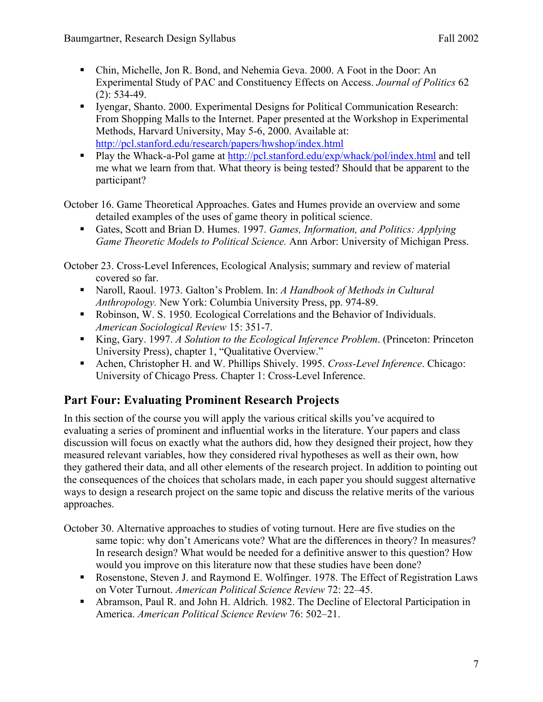- Chin, Michelle, Jon R. Bond, and Nehemia Geva. 2000. A Foot in the Door: An Experimental Study of PAC and Constituency Effects on Access. *Journal of Politics* 62 (2): 534-49.
- Iyengar, Shanto. 2000. Experimental Designs for Political Communication Research: From Shopping Malls to the Internet. Paper presented at the Workshop in Experimental Methods, Harvard University, May 5-6, 2000. Available at: <http://pcl.stanford.edu/research/papers/hwshop/index.html>
- Play the Whack-a-Pol game at <http://pcl.stanford.edu/exp/whack/pol/index.html>and tell me what we learn from that. What theory is being tested? Should that be apparent to the participant?

October 16. Game Theoretical Approaches. Gates and Humes provide an overview and some detailed examples of the uses of game theory in political science.

 Gates, Scott and Brian D. Humes. 1997. *Games, Information, and Politics: Applying Game Theoretic Models to Political Science.* Ann Arbor: University of Michigan Press.

October 23. Cross-Level Inferences, Ecological Analysis; summary and review of material covered so far.

- Naroll, Raoul. 1973. Galton's Problem. In: *A Handbook of Methods in Cultural Anthropology.* New York: Columbia University Press, pp. 974-89.
- Robinson, W. S. 1950. Ecological Correlations and the Behavior of Individuals. *American Sociological Review* 15: 351-7.
- King, Gary. 1997. *A Solution to the Ecological Inference Problem*. (Princeton: Princeton University Press), chapter 1, "Qualitative Overview."
- Achen, Christopher H. and W. Phillips Shively. 1995. *Cross-Level Inference*. Chicago: University of Chicago Press. Chapter 1: Cross-Level Inference.

# **Part Four: Evaluating Prominent Research Projects**

In this section of the course you will apply the various critical skills you've acquired to evaluating a series of prominent and influential works in the literature. Your papers and class discussion will focus on exactly what the authors did, how they designed their project, how they measured relevant variables, how they considered rival hypotheses as well as their own, how they gathered their data, and all other elements of the research project. In addition to pointing out the consequences of the choices that scholars made, in each paper you should suggest alternative ways to design a research project on the same topic and discuss the relative merits of the various approaches.

October 30. Alternative approaches to studies of voting turnout. Here are five studies on the same topic: why don't Americans vote? What are the differences in theory? In measures? In research design? What would be needed for a definitive answer to this question? How would you improve on this literature now that these studies have been done?

- Rosenstone, Steven J. and Raymond E. Wolfinger. 1978. The Effect of Registration Laws on Voter Turnout. *American Political Science Review* 72: 22–45.
- Abramson, Paul R. and John H. Aldrich. 1982. The Decline of Electoral Participation in America. *American Political Science Review* 76: 502–21.